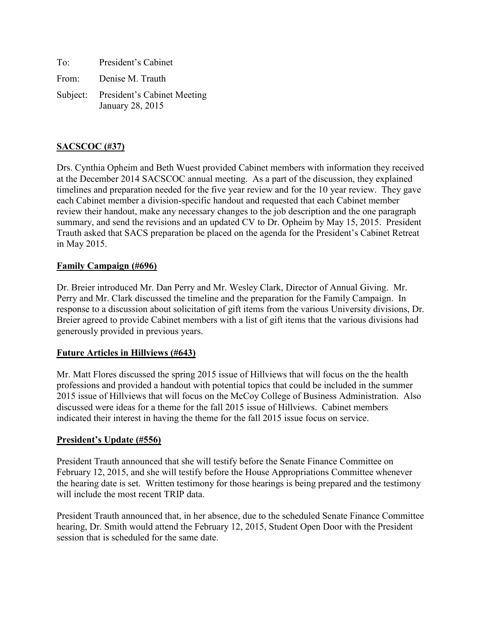| To:   | President's Cabinet                                      |
|-------|----------------------------------------------------------|
| From: | Denise M. Trauth                                         |
|       | Subject: President's Cabinet Meeting<br>January 28, 2015 |

# **SACSCOC (#37)**

Drs. Cynthia Opheim and Beth Wuest provided Cabinet members with information they received at the December 2014 SACSCOC annual meeting. As a part of the discussion, they explained timelines and preparation needed for the five year review and for the 10 year review. They gave each Cabinet member a division-specific handout and requested that each Cabinet member review their handout, make any necessary changes to the job description and the one paragraph summary, and send the revisions and an updated CV to Dr. Opheim by May 15, 2015. President Trauth asked that SACS preparation be placed on the agenda for the President's Cabinet Retreat in May 2015.

### **Family Campaign (#696)**

Dr. Breier introduced Mr. Dan Perry and Mr. Wesley Clark, Director of Annual Giving. Mr. Perry and Mr. Clark discussed the timeline and the preparation for the Family Campaign. In response to a discussion about solicitation of gift items from the various University divisions, Dr. Breier agreed to provide Cabinet members with a list of gift items that the various divisions had generously provided in previous years.

## **Future Articles in Hillviews (#643)**

Mr. Matt Flores discussed the spring 2015 issue of Hillviews that will focus on the the health professions and provided a handout with potential topics that could be included in the summer 2015 issue of Hillviews that will focus on the McCoy College of Business Administration. Also discussed were ideas for a theme for the fall 2015 issue of Hillviews. Cabinet members indicated their interest in having the theme for the fall 2015 issue focus on service.

#### **President's Update (#556)**

President Trauth announced that she will testify before the Senate Finance Committee on February 12, 2015, and she will testify before the House Appropriations Committee whenever the hearing date is set. Written testimony for those hearings is being prepared and the testimony will include the most recent TRIP data.

President Trauth announced that, in her absence, due to the scheduled Senate Finance Committee hearing, Dr. Smith would attend the February 12, 2015, Student Open Door with the President session that is scheduled for the same date.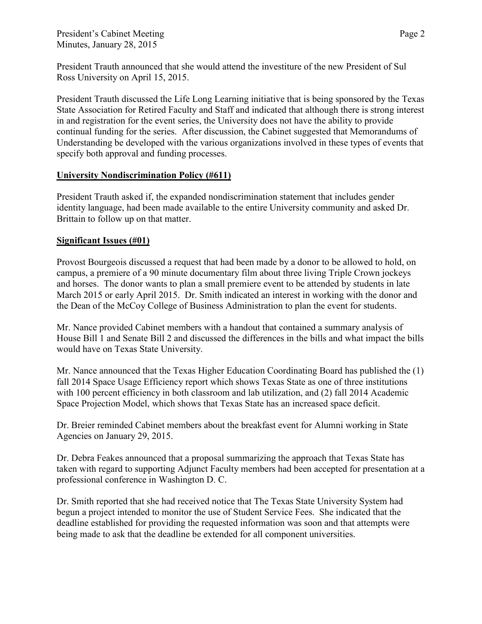President's Cabinet Meeting Page 2 Minutes, January 28, 2015

President Trauth announced that she would attend the investiture of the new President of Sul Ross University on April 15, 2015.

President Trauth discussed the Life Long Learning initiative that is being sponsored by the Texas State Association for Retired Faculty and Staff and indicated that although there is strong interest in and registration for the event series, the University does not have the ability to provide continual funding for the series. After discussion, the Cabinet suggested that Memorandums of Understanding be developed with the various organizations involved in these types of events that specify both approval and funding processes.

### **University Nondiscrimination Policy (#611)**

President Trauth asked if, the expanded nondiscrimination statement that includes gender identity language, had been made available to the entire University community and asked Dr. Brittain to follow up on that matter.

### **Significant Issues (#01)**

Provost Bourgeois discussed a request that had been made by a donor to be allowed to hold, on campus, a premiere of a 90 minute documentary film about three living Triple Crown jockeys and horses. The donor wants to plan a small premiere event to be attended by students in late March 2015 or early April 2015. Dr. Smith indicated an interest in working with the donor and the Dean of the McCoy College of Business Administration to plan the event for students.

Mr. Nance provided Cabinet members with a handout that contained a summary analysis of House Bill 1 and Senate Bill 2 and discussed the differences in the bills and what impact the bills would have on Texas State University.

Mr. Nance announced that the Texas Higher Education Coordinating Board has published the (1) fall 2014 Space Usage Efficiency report which shows Texas State as one of three institutions with 100 percent efficiency in both classroom and lab utilization, and (2) fall 2014 Academic Space Projection Model, which shows that Texas State has an increased space deficit.

Dr. Breier reminded Cabinet members about the breakfast event for Alumni working in State Agencies on January 29, 2015.

Dr. Debra Feakes announced that a proposal summarizing the approach that Texas State has taken with regard to supporting Adjunct Faculty members had been accepted for presentation at a professional conference in Washington D. C.

Dr. Smith reported that she had received notice that The Texas State University System had begun a project intended to monitor the use of Student Service Fees. She indicated that the deadline established for providing the requested information was soon and that attempts were being made to ask that the deadline be extended for all component universities.